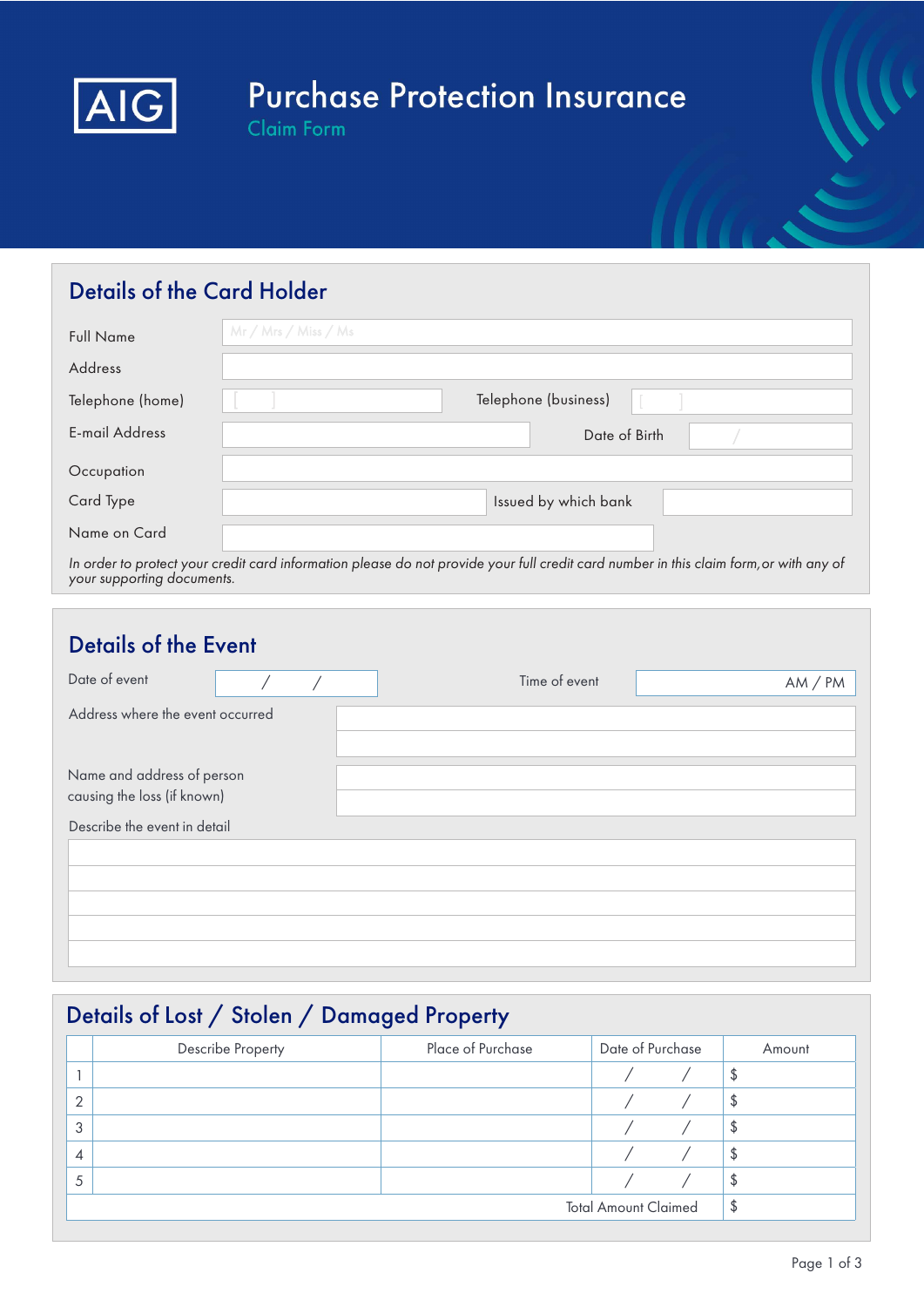

# **Purchase Protection Insurance**

Claim Form

### Details of the Card Holder

| <b>Full Name</b>      | Mr / Mrs / Miss / Ms                                                                                                                   |
|-----------------------|----------------------------------------------------------------------------------------------------------------------------------------|
| Address               |                                                                                                                                        |
| Telephone (home)      | Telephone (business)                                                                                                                   |
| <b>E-mail Address</b> | Date of Birth                                                                                                                          |
| Occupation            |                                                                                                                                        |
| Card Type             | Issued by which bank                                                                                                                   |
| Name on Card          |                                                                                                                                        |
|                       | In order to protect your credit card information please do not provide your full credit card number in this claim form, or with any of |

your supporting documents.

| <b>Details of the Event</b>                               |  |  |  |               |         |  |
|-----------------------------------------------------------|--|--|--|---------------|---------|--|
| Date of event                                             |  |  |  | Time of event | AM / PM |  |
| Address where the event occurred                          |  |  |  |               |         |  |
| Name and address of person<br>causing the loss (if known) |  |  |  |               |         |  |
| Describe the event in detail                              |  |  |  |               |         |  |
|                                                           |  |  |  |               |         |  |
|                                                           |  |  |  |               |         |  |
|                                                           |  |  |  |               |         |  |
|                                                           |  |  |  |               |         |  |

### Details of Lost / Stolen / Damaged Property

|   | Describe Property | Place of Purchase | Date of Purchase            |  | Amount |
|---|-------------------|-------------------|-----------------------------|--|--------|
|   |                   |                   |                             |  | Φ      |
| ⌒ |                   |                   |                             |  | \$     |
| 3 |                   |                   |                             |  | \$     |
| 4 |                   |                   |                             |  | \$     |
| 5 |                   |                   |                             |  | \$     |
|   |                   |                   | <b>Total Amount Claimed</b> |  | \$     |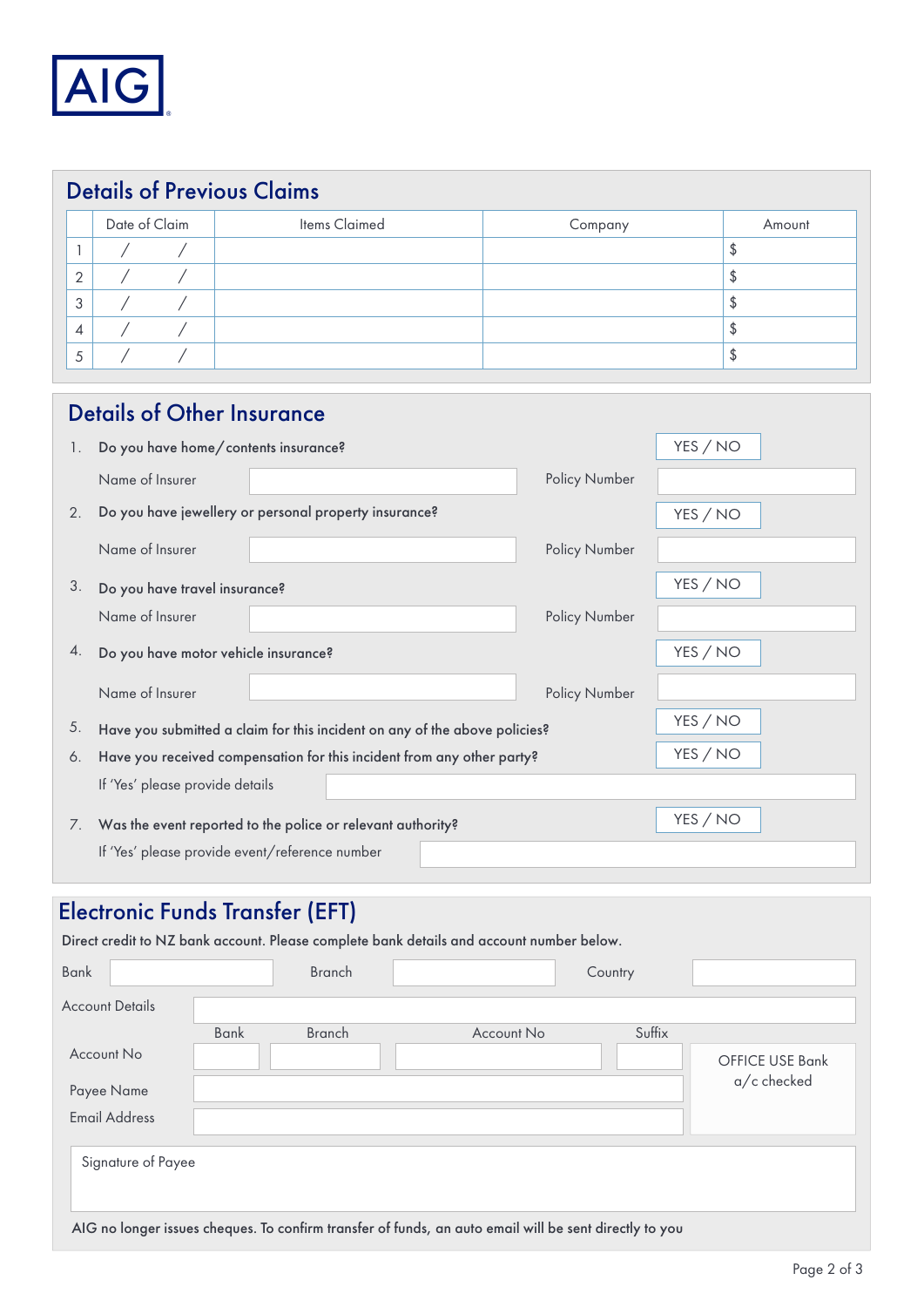

|                | <b>Details of Previous Claims</b> |  |               |         |        |  |  |
|----------------|-----------------------------------|--|---------------|---------|--------|--|--|
|                | Date of Claim                     |  | Items Claimed | Company | Amount |  |  |
|                |                                   |  |               |         | \$     |  |  |
| 2              |                                   |  |               |         | \$     |  |  |
| 3              |                                   |  |               |         | \$     |  |  |
| $\overline{4}$ |                                   |  |               |         | \$     |  |  |
| 5              |                                   |  |               |         | £      |  |  |

|    | <b>Details of Other Insurance</b>                                          |               |          |
|----|----------------------------------------------------------------------------|---------------|----------|
| 1. | Do you have home/contents insurance?                                       |               | YES / NO |
|    | Name of Insurer                                                            | Policy Number |          |
| 2. | Do you have jewellery or personal property insurance?                      |               | YES / NO |
|    | Name of Insurer                                                            | Policy Number |          |
| 3. | Do you have travel insurance?                                              |               | YES / NO |
|    | Name of Insurer                                                            | Policy Number |          |
| 4. | Do you have motor vehicle insurance?                                       |               | YES / NO |
|    | Name of Insurer                                                            | Policy Number |          |
| 5. | Have you submitted a claim for this incident on any of the above policies? |               | YES / NO |
| 6. | Have you received compensation for this incident from any other party?     |               | YES / NO |
|    | If 'Yes' please provide details                                            |               |          |
| 7. | Was the event reported to the police or relevant authority?                |               | YES / NO |
|    | If 'Yes' please provide event/reference number                             |               |          |

## Electronic Funds Transfer (EFT)

|                                                                                                        |             |               | Direct credit to NZ bank account. Please complete bank details and account number below. |         |                                |
|--------------------------------------------------------------------------------------------------------|-------------|---------------|------------------------------------------------------------------------------------------|---------|--------------------------------|
| <b>Bank</b>                                                                                            |             | <b>Branch</b> |                                                                                          | Country |                                |
| <b>Account Details</b>                                                                                 |             |               |                                                                                          |         |                                |
|                                                                                                        | <b>Bank</b> | <b>Branch</b> | Account No                                                                               | Suffix  |                                |
| Account No                                                                                             |             |               |                                                                                          |         | OFFICE USE Bank<br>a/c checked |
| Payee Name                                                                                             |             |               |                                                                                          |         |                                |
| <b>Email Address</b>                                                                                   |             |               |                                                                                          |         |                                |
| Signature of Payee                                                                                     |             |               |                                                                                          |         |                                |
| AIG no longer issues cheques. To confirm transfer of funds, an auto email will be sent directly to you |             |               |                                                                                          |         |                                |